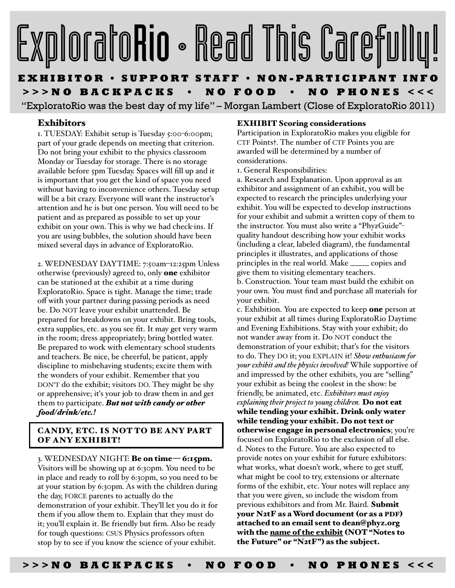# ExploratoRio • Read This Carefull

# **EXHIBITOR • SUPPORT STAFF • NON-PARTICIPANT INFO >>>NO BACKPACKS • NO FOOD • NO PHONES <<<**

"ExploratoRio was the best day of my life" – Morgan Lambert (Close of ExploratoRio 2011)

# Exhibitors

1. TUESDAY: Exhibit setup is Tuesday 5:00-6:00pm; part of your grade depends on meeting that criterion. Do not bring your exhibit to the physics classroom Monday or Tuesday for storage. There is no storage available before 5pm Tuesday. Spaces will fill up and it is important that you get the kind of space you need without having to inconvenience others. Tuesday setup will be a bit crazy. Everyone will want the instructor's attention and he is but one person. You will need to be patient and as prepared as possible to set up your exhibit on your own. This is why we had check-ins. If you are using bubbles, the solution should have been mixed several days in advance of ExploratoRio.

2. WEDNESDAY DAYTIME: 7:50am–12:25pm Unless otherwise (previously) agreed to, only one exhibitor can be stationed at the exhibit at a time during ExploratoRio. Space is tight. Manage the time; trade off with your partner during passing periods as need be. Do NOT leave your exhibit unattended. Be prepared for breakdowns on your exhibit. Bring tools, extra supplies, etc. as you see fit. It may get very warm in the room; dress appropriately; bring bottled water. Be prepared to work with elementary school students and teachers. Be nice, be cheerful, be patient, apply discipline to misbehaving students; excite them with the wonders of your exhibit. Remember that you DON'T do the exhibit; visitors DO. They might be shy or apprehensive; iťs your job to draw them in and get them to participate. *But not with candy or other food/drink/etc.!*

### CANDY, ETC. IS NOT TO BE ANY PART OF ANY EXHIBIT!

#### 3. WEDNESDAY NIGHT: Be on time— 6:15pm.

Visitors will be showing up at 6:30pm. You need to be in place and ready to roll by 6:30pm, so you need to be at your station by 6:30pm. As with the children during the day, FORCE parents to actually do the demonstration of your exhibit. They'll let you do it for them if you allow them to. Explain that they must do it; you'll explain it. Be friendly but firm. Also be ready for tough questions: CSUS Physics professors often stop by to see if you know the science of your exhibit.

#### EXHIBIT Scoring considerations

Participation in ExploratoRio makes you eligible for CTF Points†. The number of CTF Points you are awarded will be determined by a number of considerations.

1. General Responsibilities:

a. Research and Explanation. Upon approval as an exhibitor and assignment of an exhibit, you will be expected to research the principles underlying your exhibit. You will be expected to develop instructions for your exhibit and submit a written copy of them to the instructor. You must also write a "PhyzGuide" quality handout describing how your exhibit works (including a clear, labeled diagram), the fundamental principles it illustrates, and applications of those principles in the real world. Make \_\_\_\_\_ copies and give them to visiting elementary teachers. b. Construction. Your team must build the exhibit on your own. You must find and purchase all materials for your exhibit.

c. Exhibition. You are expected to keep one person at your exhibit at all times during ExploratoRio Daytime and Evening Exhibitions. Stay with your exhibit; do not wander away from it. Do NOT conduct the demonstration of your exhibit; thaťs for the visitors to do. They DO it; you EXPLAIN it! *Show enthusiasm for your exhibit and the physics involved!* While supportive of and impressed by the other exhibits, you are "selling" your exhibit as being the coolest in the show: be friendly, be animated, etc. *Exhibitors must enjoy explaining their project to young children.* Do not eat while tending your exhibit. Drink only water while tending your exhibit. Do not text or otherwise engage in personal electronics; you're focused on ExploratoRio to the exclusion of all else. d. Notes to the Future. You are also expected to provide notes on your exhibit for future exhibitors: what works, what doesn't work, where to get stuff, what might be cool to try, extensions or alternate forms of the exhibit, etc. Your notes will replace any that you were given, so include the wisdom from previous exhibitors and from Mr. Baird. Submit your N2tF as a Word document (or as a PDF) attached to an email sent to dean@phyz.org with the name of the exhibit (NOT "Notes to the Future" or "N2tF") as the subject.